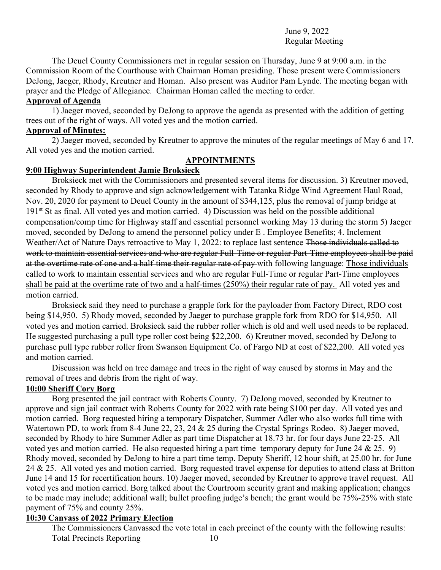## June 9, 2022 Regular Meeting

The Deuel County Commissioners met in regular session on Thursday, June 9 at 9:00 a.m. in the Commission Room of the Courthouse with Chairman Homan presiding. Those present were Commissioners DeJong, Jaeger, Rhody, Kreutner and Homan. Also present was Auditor Pam Lynde. The meeting began with prayer and the Pledge of Allegiance. Chairman Homan called the meeting to order.

## **Approval of Agenda**

 1) Jaeger moved, seconded by DeJong to approve the agenda as presented with the addition of getting trees out of the right of ways. All voted yes and the motion carried.

### **Approval of Minutes:**

2) Jaeger moved, seconded by Kreutner to approve the minutes of the regular meetings of May 6 and 17. All voted yes and the motion carried.

## **APPOINTMENTS**

# **9:00 Highway Superintendent Jamie Broksieck**

 Broksieck met with the Commissioners and presented several items for discussion. 3) Kreutner moved, seconded by Rhody to approve and sign acknowledgement with Tatanka Ridge Wind Agreement Haul Road, Nov. 20, 2020 for payment to Deuel County in the amount of \$344,125, plus the removal of jump bridge at 191<sup>st</sup> St as final. All voted yes and motion carried. 4) Discussion was held on the possible additional compensation/comp time for Highway staff and essential personnel working May 13 during the storm 5) Jaeger moved, seconded by DeJong to amend the personnel policy under E . Employee Benefits; 4. Inclement Weather/Act of Nature Days retroactive to May 1, 2022: to replace last sentence Those individuals called to work to maintain essential services and who are regular Full-Time or regular Part-Time employees shall be paid at the overtime rate of one and a half-time their regular rate of pay-with following language: Those individuals called to work to maintain essential services and who are regular Full-Time or regular Part-Time employees shall be paid at the overtime rate of two and a half-times (250%) their regular rate of pay. All voted yes and motion carried.

 Broksieck said they need to purchase a grapple fork for the payloader from Factory Direct, RDO cost being \$14,950. 5) Rhody moved, seconded by Jaeger to purchase grapple fork from RDO for \$14,950. All voted yes and motion carried. Broksieck said the rubber roller which is old and well used needs to be replaced. He suggested purchasing a pull type roller cost being \$22,200. 6) Kreutner moved, seconded by DeJong to purchase pull type rubber roller from Swanson Equipment Co. of Fargo ND at cost of \$22,200. All voted yes and motion carried.

Discussion was held on tree damage and trees in the right of way caused by storms in May and the removal of trees and debris from the right of way.

# **10:00 Sheriff Cory Borg**

 Borg presented the jail contract with Roberts County. 7) DeJong moved, seconded by Kreutner to approve and sign jail contract with Roberts County for 2022 with rate being \$100 per day. All voted yes and motion carried. Borg requested hiring a temporary Dispatcher, Summer Adler who also works full time with Watertown PD, to work from 8-4 June 22, 23, 24 & 25 during the Crystal Springs Rodeo. 8) Jaeger moved, seconded by Rhody to hire Summer Adler as part time Dispatcher at 18.73 hr. for four days June 22-25. All voted yes and motion carried. He also requested hiring a part time temporary deputy for June 24  $\&$  25. 9) Rhody moved, seconded by DeJong to hire a part time temp. Deputy Sheriff, 12 hour shift, at 25.00 hr. for June 24 & 25. All voted yes and motion carried. Borg requested travel expense for deputies to attend class at Britton June 14 and 15 for recertification hours. 10) Jaeger moved, seconded by Kreutner to approve travel request. All voted yes and motion carried. Borg talked about the Courtroom security grant and making application; changes to be made may include; additional wall; bullet proofing judge's bench; the grant would be 75%-25% with state payment of 75% and county 25%.

# **10:30 Canvass of 2022 Primary Election**

 The Commissioners Canvassed the vote total in each precinct of the county with the following results: Total Precincts Reporting 10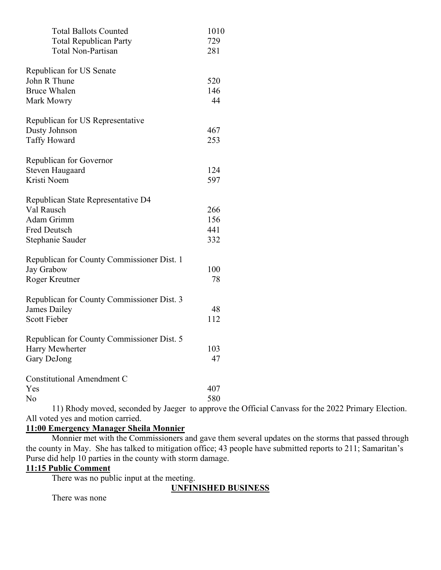| 729<br><b>Total Republican Party</b><br><b>Total Non-Partisan</b><br>281<br>Republican for US Senate<br>John R Thune<br>520<br><b>Bruce Whalen</b><br>146<br>44<br>Mark Mowry<br>Republican for US Representative<br>Dusty Johnson<br>467<br><b>Taffy Howard</b><br>253<br>Republican for Governor<br><b>Steven Haugaard</b><br>124<br>Kristi Noem<br>597<br>Republican State Representative D4<br>Val Rausch<br>266<br>Adam Grimm<br>156<br><b>Fred Deutsch</b><br>441<br>332<br>Stephanie Sauder<br>Republican for County Commissioner Dist. 1<br>Jay Grabow<br>100<br>78<br>Roger Kreutner<br>Republican for County Commissioner Dist. 3<br>James Dailey<br>48<br><b>Scott Fieber</b><br>112<br>Republican for County Commissioner Dist. 5<br>103<br>Harry Mewherter<br>Gary DeJong<br>47<br>Constitutional Amendment C<br>407<br>Yes<br>No<br>580 | <b>Total Ballots Counted</b> | 1010 |
|-------------------------------------------------------------------------------------------------------------------------------------------------------------------------------------------------------------------------------------------------------------------------------------------------------------------------------------------------------------------------------------------------------------------------------------------------------------------------------------------------------------------------------------------------------------------------------------------------------------------------------------------------------------------------------------------------------------------------------------------------------------------------------------------------------------------------------------------------------|------------------------------|------|
|                                                                                                                                                                                                                                                                                                                                                                                                                                                                                                                                                                                                                                                                                                                                                                                                                                                       |                              |      |
|                                                                                                                                                                                                                                                                                                                                                                                                                                                                                                                                                                                                                                                                                                                                                                                                                                                       |                              |      |
|                                                                                                                                                                                                                                                                                                                                                                                                                                                                                                                                                                                                                                                                                                                                                                                                                                                       |                              |      |
|                                                                                                                                                                                                                                                                                                                                                                                                                                                                                                                                                                                                                                                                                                                                                                                                                                                       |                              |      |
|                                                                                                                                                                                                                                                                                                                                                                                                                                                                                                                                                                                                                                                                                                                                                                                                                                                       |                              |      |
|                                                                                                                                                                                                                                                                                                                                                                                                                                                                                                                                                                                                                                                                                                                                                                                                                                                       |                              |      |
|                                                                                                                                                                                                                                                                                                                                                                                                                                                                                                                                                                                                                                                                                                                                                                                                                                                       |                              |      |
|                                                                                                                                                                                                                                                                                                                                                                                                                                                                                                                                                                                                                                                                                                                                                                                                                                                       |                              |      |
|                                                                                                                                                                                                                                                                                                                                                                                                                                                                                                                                                                                                                                                                                                                                                                                                                                                       |                              |      |
|                                                                                                                                                                                                                                                                                                                                                                                                                                                                                                                                                                                                                                                                                                                                                                                                                                                       |                              |      |
|                                                                                                                                                                                                                                                                                                                                                                                                                                                                                                                                                                                                                                                                                                                                                                                                                                                       |                              |      |
|                                                                                                                                                                                                                                                                                                                                                                                                                                                                                                                                                                                                                                                                                                                                                                                                                                                       |                              |      |
|                                                                                                                                                                                                                                                                                                                                                                                                                                                                                                                                                                                                                                                                                                                                                                                                                                                       |                              |      |
|                                                                                                                                                                                                                                                                                                                                                                                                                                                                                                                                                                                                                                                                                                                                                                                                                                                       |                              |      |
|                                                                                                                                                                                                                                                                                                                                                                                                                                                                                                                                                                                                                                                                                                                                                                                                                                                       |                              |      |
|                                                                                                                                                                                                                                                                                                                                                                                                                                                                                                                                                                                                                                                                                                                                                                                                                                                       |                              |      |
|                                                                                                                                                                                                                                                                                                                                                                                                                                                                                                                                                                                                                                                                                                                                                                                                                                                       |                              |      |
|                                                                                                                                                                                                                                                                                                                                                                                                                                                                                                                                                                                                                                                                                                                                                                                                                                                       |                              |      |
|                                                                                                                                                                                                                                                                                                                                                                                                                                                                                                                                                                                                                                                                                                                                                                                                                                                       |                              |      |
|                                                                                                                                                                                                                                                                                                                                                                                                                                                                                                                                                                                                                                                                                                                                                                                                                                                       |                              |      |
|                                                                                                                                                                                                                                                                                                                                                                                                                                                                                                                                                                                                                                                                                                                                                                                                                                                       |                              |      |
|                                                                                                                                                                                                                                                                                                                                                                                                                                                                                                                                                                                                                                                                                                                                                                                                                                                       |                              |      |
|                                                                                                                                                                                                                                                                                                                                                                                                                                                                                                                                                                                                                                                                                                                                                                                                                                                       |                              |      |
|                                                                                                                                                                                                                                                                                                                                                                                                                                                                                                                                                                                                                                                                                                                                                                                                                                                       |                              |      |
|                                                                                                                                                                                                                                                                                                                                                                                                                                                                                                                                                                                                                                                                                                                                                                                                                                                       |                              |      |
|                                                                                                                                                                                                                                                                                                                                                                                                                                                                                                                                                                                                                                                                                                                                                                                                                                                       |                              |      |
|                                                                                                                                                                                                                                                                                                                                                                                                                                                                                                                                                                                                                                                                                                                                                                                                                                                       |                              |      |
|                                                                                                                                                                                                                                                                                                                                                                                                                                                                                                                                                                                                                                                                                                                                                                                                                                                       |                              |      |
|                                                                                                                                                                                                                                                                                                                                                                                                                                                                                                                                                                                                                                                                                                                                                                                                                                                       |                              |      |
|                                                                                                                                                                                                                                                                                                                                                                                                                                                                                                                                                                                                                                                                                                                                                                                                                                                       |                              |      |
|                                                                                                                                                                                                                                                                                                                                                                                                                                                                                                                                                                                                                                                                                                                                                                                                                                                       |                              |      |
|                                                                                                                                                                                                                                                                                                                                                                                                                                                                                                                                                                                                                                                                                                                                                                                                                                                       |                              |      |
|                                                                                                                                                                                                                                                                                                                                                                                                                                                                                                                                                                                                                                                                                                                                                                                                                                                       |                              |      |
|                                                                                                                                                                                                                                                                                                                                                                                                                                                                                                                                                                                                                                                                                                                                                                                                                                                       |                              |      |

 11) Rhody moved, seconded by Jaeger to approve the Official Canvass for the 2022 Primary Election. All voted yes and motion carried.

# **11:00 Emergency Manager Sheila Monnier**

 Monnier met with the Commissioners and gave them several updates on the storms that passed through the county in May. She has talked to mitigation office; 43 people have submitted reports to 211; Samaritan's Purse did help 10 parties in the county with storm damage.

# **11:15 Public Comment**

There was no public input at the meeting.

**UNFINISHED BUSINESS** 

There was none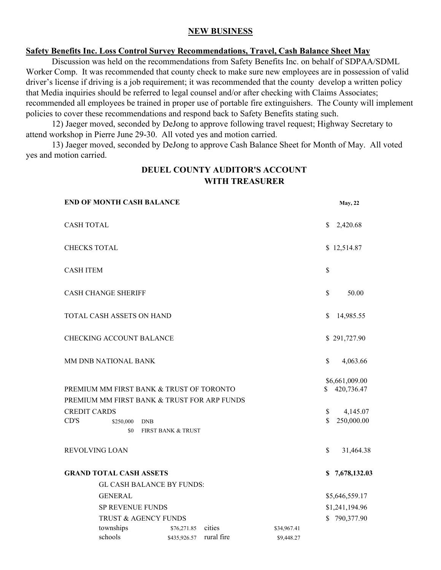#### **NEW BUSINESS**

#### **Safety Benefits Inc. Loss Control Survey Recommendations, Travel, Cash Balance Sheet May**

 Discussion was held on the recommendations from Safety Benefits Inc. on behalf of SDPAA/SDML Worker Comp. It was recommended that county check to make sure new employees are in possession of valid driver's license if driving is a job requirement; it was recommended that the county develop a written policy that Media inquiries should be referred to legal counsel and/or after checking with Claims Associates; recommended all employees be trained in proper use of portable fire extinguishers. The County will implement policies to cover these recommendations and respond back to Safety Benefits stating such.

 12) Jaeger moved, seconded by DeJong to approve following travel request; Highway Secretary to attend workshop in Pierre June 29-30. All voted yes and motion carried.

 13) Jaeger moved, seconded by DeJong to approve Cash Balance Sheet for Month of May. All voted yes and motion carried.

# **DEUEL COUNTY AUDITOR'S ACCOUNT WITH TREASURER**

| <b>END OF MONTH CASH BALANCE</b>                                                                                                                         |                               |            |             |                | <b>May</b> , 22                                        |
|----------------------------------------------------------------------------------------------------------------------------------------------------------|-------------------------------|------------|-------------|----------------|--------------------------------------------------------|
| <b>CASH TOTAL</b>                                                                                                                                        |                               |            |             | \$             | 2,420.68                                               |
| <b>CHECKS TOTAL</b>                                                                                                                                      |                               |            |             |                | \$12,514.87                                            |
| <b>CASH ITEM</b>                                                                                                                                         |                               |            |             | \$             |                                                        |
| <b>CASH CHANGE SHERIFF</b>                                                                                                                               |                               |            |             | \$             | 50.00                                                  |
| TOTAL CASH ASSETS ON HAND                                                                                                                                |                               |            |             | \$             | 14,985.55                                              |
| <b>CHECKING ACCOUNT BALANCE</b>                                                                                                                          |                               |            |             |                | \$291,727.90                                           |
| MM DNB NATIONAL BANK                                                                                                                                     |                               |            |             | \$             | 4,063.66                                               |
| PREMIUM MM FIRST BANK & TRUST OF TORONTO<br>PREMIUM MM FIRST BANK & TRUST FOR ARP FUNDS<br><b>CREDIT CARDS</b><br>CD'S<br>\$250,000<br><b>DNB</b><br>\$0 | <b>FIRST BANK &amp; TRUST</b> |            |             | \$<br>\$<br>\$ | \$6,661,009.00<br>420,736.47<br>4,145.07<br>250,000.00 |
| <b>REVOLVING LOAN</b>                                                                                                                                    |                               |            |             | $\mathbb{S}$   | 31,464.38                                              |
| <b>GRAND TOTAL CASH ASSETS</b><br><b>GL CASH BALANCE BY FUNDS:</b>                                                                                       |                               |            |             | S.             | 7,678,132.03                                           |
| <b>GENERAL</b>                                                                                                                                           |                               |            |             |                | \$5,646,559.17                                         |
| SP REVENUE FUNDS                                                                                                                                         |                               |            |             | \$1,241,194.96 |                                                        |
| TRUST & AGENCY FUNDS                                                                                                                                     |                               |            |             | \$790,377.90   |                                                        |
| townships                                                                                                                                                | \$76,271.85                   | cities     | \$34,967.41 |                |                                                        |
| schools                                                                                                                                                  | \$435,926.57                  | rural fire | \$9,448.27  |                |                                                        |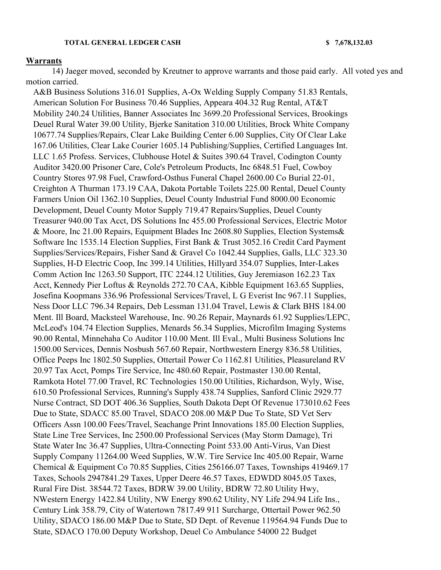#### **TOTAL GENERAL LEDGER CASH \$ 7,678,132.03**

#### **Warrants**

 14) Jaeger moved, seconded by Kreutner to approve warrants and those paid early. All voted yes and motion carried.

A&B Business Solutions 316.01 Supplies, A-Ox Welding Supply Company 51.83 Rentals, American Solution For Business 70.46 Supplies, Appeara 404.32 Rug Rental, AT&T Mobility 240.24 Utilities, Banner Associates Inc 3699.20 Professional Services, Brookings Deuel Rural Water 39.00 Utility, Bjerke Sanitation 310.00 Utilities, Brock White Company 10677.74 Supplies/Repairs, Clear Lake Building Center 6.00 Supplies, City Of Clear Lake 167.06 Utilities, Clear Lake Courier 1605.14 Publishing/Supplies, Certified Languages Int. LLC 1.65 Profess. Services, Clubhouse Hotel & Suites 390.64 Travel, Codington County Auditor 3420.00 Prisoner Care, Cole's Petroleum Products, Inc 6848.51 Fuel, Cowboy Country Stores 97.98 Fuel, Crawford-Osthus Funeral Chapel 2600.00 Co Burial 22-01, Creighton A Thurman 173.19 CAA, Dakota Portable Toilets 225.00 Rental, Deuel County Farmers Union Oil 1362.10 Supplies, Deuel County Industrial Fund 8000.00 Economic Development, Deuel County Motor Supply 719.47 Repairs/Supplies, Deuel County Treasurer 940.00 Tax Acct, DS Solutions Inc 455.00 Professional Services, Electric Motor & Moore, Inc 21.00 Repairs, Equipment Blades Inc 2608.80 Supplies, Election Systems& Software Inc 1535.14 Election Supplies, First Bank & Trust 3052.16 Credit Card Payment Supplies/Services/Repairs, Fisher Sand & Gravel Co 1042.44 Supplies, Galls, LLC 323.30 Supplies, H-D Electric Coop, Inc 399.14 Utilities, Hillyard 354.07 Supplies, Inter-Lakes Comm Action Inc 1263.50 Support, ITC 2244.12 Utilities, Guy Jeremiason 162.23 Tax Acct, Kennedy Pier Loftus & Reynolds 272.70 CAA, Kibble Equipment 163.65 Supplies, Josefina Koopmans 336.96 Professional Services/Travel, L G Everist Inc 967.11 Supplies, Ness Door LLC 796.34 Repairs, Deb Lessman 131.04 Travel, Lewis & Clark BHS 184.00 Ment. Ill Board, Macksteel Warehouse, Inc. 90.26 Repair, Maynards 61.92 Supplies/LEPC, McLeod's 104.74 Election Supplies, Menards 56.34 Supplies, Microfilm Imaging Systems 90.00 Rental, Minnehaha Co Auditor 110.00 Ment. Ill Eval., Multi Business Solutions Inc 1500.00 Services, Dennis Nosbush 567.60 Repair, Northwestern Energy 836.58 Utilities, Office Peeps Inc 1802.50 Supplies, Ottertail Power Co 1162.81 Utilities, Pleasureland RV 20.97 Tax Acct, Pomps Tire Service, Inc 480.60 Repair, Postmaster 130.00 Rental, Ramkota Hotel 77.00 Travel, RC Technologies 150.00 Utilities, Richardson, Wyly, Wise, 610.50 Professional Services, Running's Supply 438.74 Supplies, Sanford Clinic 2929.77 Nurse Contract, SD DOT 406.36 Supplies, South Dakota Dept Of Revenue 173010.62 Fees Due to State, SDACC 85.00 Travel, SDACO 208.00 M&P Due To State, SD Vet Serv Officers Assn 100.00 Fees/Travel, Seachange Print Innovations 185.00 Election Supplies, State Line Tree Services, Inc 2500.00 Professional Services (May Storm Damage), Tri State Water Inc 36.47 Supplies, Ultra-Connecting Point 533.00 Anti-Virus, Van Diest Supply Company 11264.00 Weed Supplies, W.W. Tire Service Inc 405.00 Repair, Warne Chemical & Equipment Co 70.85 Supplies, Cities 256166.07 Taxes, Townships 419469.17 Taxes, Schools 2947841.29 Taxes, Upper Deere 46.57 Taxes, EDWDD 8045.05 Taxes, Rural Fire Dist. 38544.72 Taxes, BDRW 39.00 Utility, BDRW 72.80 Utility Hwy, NWestern Energy 1422.84 Utility, NW Energy 890.62 Utility, NY Life 294.94 Life Ins., Century Link 358.79, City of Watertown 7817.49 911 Surcharge, Ottertail Power 962.50 Utility, SDACO 186.00 M&P Due to State, SD Dept. of Revenue 119564.94 Funds Due to State, SDACO 170.00 Deputy Workshop, Deuel Co Ambulance 54000 22 Budget